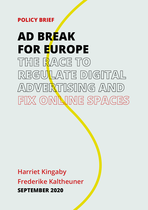## **POLICY BRIEF**

# **AD BREAK FOR EUROPE THE RACE TO**  REGULATE DIGITAL **ADVERTISING AND FIX ONLINE SPACES**

**Harriet Kingaby Frederike Kaltheuner SEPTEMBER 2020**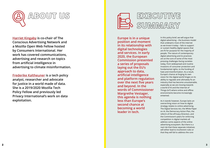



**[Harriet Kingaby](mailto:hello%40harrietkingaby.com?subject=) is co-chair of The Conscious Advertising Network and a Mozilla Open Web Fellow hosted by Consumers International. Her work has covered communications, advertising and research on topics from artificial intelligence in advertising to climate misinformation.** 

**[Frederike Kaltheuner](mailto:mail%40frederike-kaltheuner.com?subject=) is a tech policy analyst, researcher and advocate for justice in a world made of data. She is a 2019/2020 Mozilla Tech Policy Fellow and previously led Privacy International's work on data exploitation.** 

**Europe is in a unique position and moment in its relationship with digital technologies and services. In early 2020, the European Commission presented a series of proposals laying out the EU's approach to data, artificial intelligence and platform regulation over the next five years and beyond. In the words of Commissioner Margrethe Vestager, this agenda is nothing less than Europe's second chance at becoming a world leader in tech.**

In this policy brief, we will argue that digital advertising – the business model that underpins most of the internet as we know it today – fails to support or sustain healthy digital spaces that are fit for purpose for the majority of people. The nature of contemporary digital advertising and its practices are at the core of some of the most pressing challenges facing societies today, from widespread and routine invasions of consumer protection and fundamental rights, to the funding of hate and misinformation. As a result, Europe's chance at forging its own vision for the digital world hinges on its ability to regulate and ultimately fix an industry that has become unsustainable, especially as we are moving towards a world of AI and the Internet of Things (IoT) where online and offline environments become increasingly entwined.

As it stands however, Europe lacks an overarching vision on how its digital strategy relates to online advertising. The Digital Services Act, the White Paper on AI, the Democracy Action Plan, the reform of the ePrivacy Direction, and the Commission's plans for enforcing competition in digital markets all address some aspects of the online advertising ecosystem. But there is a real risk that these separate initiatives will either lead to incoherent rules or that they will fail to address the core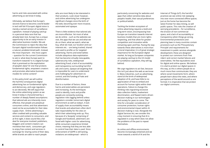harms and risks associated with online advertising as we know it today.

Ultimately, we believe that Europe's second chance to become a world leader in tech will fail if Europe's digital vision is merely a tamed version of surveillance capitalism. Instead of playing catchup in a personal data race that has already been lost, Europe has a unique opportunity to be an early investor in alternative business models. We ask the Commission to reject the idea that Europe's digital transformation follows a natural, predetermined path. Instead, the most important – the most urgent – question for the current Commission to ask is: what does Europe want to transform towards? Is it a digital Europe that is premised on the exploitation of people's data? Or one that protects fundamental rights, empowers creators and promotes alternative business models for online content?

In this policy brief, we will outline the harmful consequences digital advertising has on fundamental rights and democracy, and urge regulators to act decisively. We will argue that the online advertising system as we know it today is characterised by a number of deeply flawed assumptions: that tailored ads are inherently more effective, that people are perpetual consumers online, and that advertisers need not be accountable for their data supply chain. Online advertising is often credited with providing valuable services and content to consumers, and at first sight, it does sound like a fair deal for everyone involved: publishers, bloggers and content creators can monetise their work, consumers get to enjoy free content and services in exchange for sharing some of their data, while brands are able to reach people

who are most likely to be interested in their products. Look closer however, and online advertising has undergone significant changes since the birth of the web, becoming ever more invasive, automated and opaque.

There is little evidence that tailored ads are more effective. Yet most of what we do online – such as the websites we visit, the apps that we use and what we do on them, what we watch, what we buy, what we read, our location and our interests etc. – are being tracked, shared and used to profile us for targeted advertising. Harms and externalities include ubiquitous data exploitation that has become virtually inescapable, cybersecurity risks, widespread advertising fraud, a lack of accountability and transparency surrounding harmful ads and scams, opaque ad targeting that is impossible for users to understand and challenging for advertisers to control, and the funding of hate and disinformation.

Due to a number of factors, these harms and externalities are persistent and increasing. As the techniques used to identify, track and profile people are constantly evolving, regulation risks lagging behind unless regulators consider tomorrow's digital environment as well as today's. A lack of supply chain accountability means that brands and advertisers often don't take responsibility for the sites on which their advertising ends up. Plus, because of a 'duopoly' comprising of Google and Facebook, advertisers are faced with higher costs for advertising, while consumers experience limited choice, meaning that they are less able to control how their data is used. Since enforcement of GDPR is still lacking, violations are widespread – which is

particularly concerning for websites and apps that collect sensitive data about people's health, their sexual preferences or political beliefs.

Tackling the broken ecosystem of online advertising requires a bold and long-term vision, encompassing how Europe can transition towards internet business models that are more rightsrespecting, and that allow for greater competition and innovation while remaining open and free. Paving the way towards these alternatives is more than a moral imperative; it is of great strategic importance for the European digital market. As long as European companies are playing catchup to the US model of surveillance capitalism, they will lag behind.

We urge regulators to act fast, because this isn't just about the web as we know it. Many industries, such as advertising, stand at the brink of widespread adoption of AI, and have little to no appreciation of how to embed and account for human rights within their operations. Failure to change this thinking risks ingraining excessive data collection habits, inadvertent discimination, and flawed metric-driven decision-making in our technologies and society for years to come. The time for a broader consideration of consumer protection, human rights and environmental impact within AI decision-making is now. Alongside the Digital Services Act, we consider this a key moment in ensuring that AI is regulated in a way which does not allow the problems of the past to repeat themselves.

As online and offline environments become increasingly entwined and we move towards a world of AI and the

Internet of Things (IoT), the harmful practices we see online risk sweeping into ever more connected offline spaces. Just as the home has become the latest frontier for data mining, so will public spaces. This risks the creation of worrying precedents – for surveillance, the erosion of non-commercial space, and a lack of accountability or transparency when things go wrong. Environmental protections and planning laws in many countries contain provisions such as the 'Precautionary Principle' and requirements for investment in public services alongside development; these are designed to protect our commons from 'free riders' and correct market failures and externalities. Yet few equivalents exist for digital and online spaces. We believe it is vital to protect our digital spaces in this way, as this is where people do so much more than communicate: they are where social movements form, where people learn about the news, and where perceptions of the world around us are formed. It is imperative that we protect our digital commons.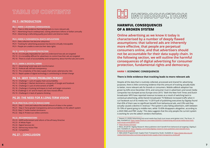

### **HARMFUL CONSEQUENCES OF A BROKEN SYSTEM**

**Online advertising as we know it today is characterised by a number of deeply flawed assumptions: that tailored ads are inherently more effective, that people are perpetual consumers online, and that advertisers should not be accountable for their data supply chain. In the following section, we will outline the harmful consequences of digital advertising for consumer protection, fundamental rights and democracy.**

#### **HARM 1: ECONOMIC CONSEQUENCES**

#### **There is little evidence that tracking leads to more relevant ads**

Despite all the data that is routinely collected, processed and shared for advertising purposes, there is little convincing evidence that this amount of tracking actually leads to better, more relevant ads for brands or consumers. Mobile adblock adoption has grown by 64% since December 2016, and consumer trust in advertisers and social media companies has slumped across Europe since 2015. <sup>1</sup> Both the New York Times and Dutch broadcaster NPO have reported revenue increases as a result of switching back to contextual advertising, while Danish broadcaster TV Midtvest increased traffic when it cut Facebook out of its media mix. <sup>2</sup> A 2019 poll of publishing executives by Digiday found that 45% of them saw no significant benefit from behavioural ads, and 23% said they actually caused a decline in revenue. <sup>3</sup> The system is also failing advertisers, with between 55-70% of spend going to middle men, while 15-83% disappears altogether, according to a 2020 ISBA and PWC study. 4 This data suggests that the only people the current system is working for are the adtech vendors themselves.

### **PG 7 - INTRODUCTION**

#### **PG 7 - HARM 1: ECONOMIC CONSEQUENCES**

- PG 7 There is little evidence that tracking leads to more relevant ads
- PG 7 Advertising fraud is widespread, costing advertisers billions of dollars annually
- PG 8 Advertising is defunding quality journalism and diverse media

#### **[PG 9 - HARM 2: FUNDAMENTAL RIGHTS IMPLICATIONS](#page-4-0)**

- PG 9 Data collection has become ubiquitous
- PG 9 Tracking for advertising purposes has become virtually inescapable
- PG 9 People are unable to exercise their data rights

#### **[PG 10 - HARM 3: CONSUMER PROTECTION](#page-5-0)**

- PG 10 It is virtually impossible for users to understand how ads are targeted
- PG 10 It is incredibly difficult for advertisers to control how their ads are targeted
- PG 10 There is a lack of accountability and transparency about harmful ads and scams

#### **[PG 11 - HARM 4: SOCIETAL HARMS](#page-5-0)**

- PG 11 Advertising funds hate and misinformation
- PG 12 Political ads still lack transparency
- PG 13 The complexity of the data supply chain poses cybersecurity risks
- PG 13 Rapid uptake of digital technology is contributing to climate change

#### **[PG 14 - WHY THESE PROBLEMS PERSIST](#page-7-0)**

- PG 14 Challenge 1: Lack of supply chain accountability
- PG 15 Challenge 2: Market dominance, a duopoly of Google and Facebook
- PG 16 Challenge 3: Lack of enforcement of GDPR
- PG 18 Challenge 4: Evolving techniques to track and target consumers
- PG 18 -Challenge 5: IoT and AI means ads have moved offline
- PG 19 Challenge 6: A lack of systems thinking

#### **[PG 20 -THE NEED FOR A LONG-TERM VISION](#page-10-0)**

#### **[PG 20 -PRACTICAL STEPS TO REDUCE HARM](#page-10-0)**

PG 21 - Step 1: Limit and reduce the overall amount of data in the system PG 21 - Step 2: Force greater transparency and accountability on the adtech system PG 22 -Step 3: Tackle market dominance PG 22 - Step 4: Protect our online commons

#### **[PG 23 - RECOMMENDATIONS](#page-11-0)**

PG 23 - GDPR enforcement and reform of the ePrivacy Directive PG 23 - AI White Paper PG 24 - Digital Services Act PG 25 - Democracy Action Plan PG 26 - Competition

**[PG 27 - CONCLUSION](#page-13-0)**

<sup>1</sup> Stewart, R. (2020) 'Advertising and social media face fresh trust issues amid global crisis', The Drum, 15 May. Available at: [https://www.thedrum.com/news/2020/05/15/advertising-and-social-media-face-fresh](https://www.thedrum.com/news/2020/05/15/advertising-and-social-media-face-fresh-trust-issues-amid-gl)[trust-issues-amid-global-crisis](https://www.thedrum.com/news/2020/05/15/advertising-and-social-media-face-fresh-trust-issues-amid-gl)

<sup>2</sup> <https://brave.com/npo/>

<sup>3</sup> Weiss, M (2019) ' Digiday Research: Most publishers don't benefit from behavioral ad targeting', Digiday,5 June. Available at: [https://digiday.com/media/digiday-research-most-publishers-dont-benefit-from](https://digiday.com/media/digiday-research-most-publishers-dont-benefit-from-behavioral-ad-targeting)[behavioral-ad-targeting/](https://digiday.com/media/digiday-research-most-publishers-dont-benefit-from-behavioral-ad-targeting)

<sup>4</sup> ISBA (2020) 'Programmatic Supply Chain Transparency Study'. Available at: [https://www.isba.org.uk/](https://www.isba.org.uk/media/2424/executive-summary-programmatic-supply-chain-transparency-study.pd) [media/2424/executive-summary-programmatic-supply-chain-transparency-study.pdf](https://www.isba.org.uk/media/2424/executive-summary-programmatic-supply-chain-transparency-study.pd)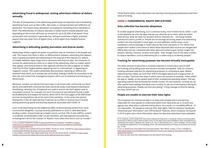#### <span id="page-4-0"></span>**Advertising fraud is widespread, costing advertisers billions of dollars annually**

The lack of transparency in the advertising system plays an important role in facilitating advertising fraud, such as fake traffic, fake leads, or misrepresented and ineffective ad placement. This means many advertisers are paying for something that is worthless to them. The effectiveness of industry attempts to tackle fraud is heavily debated<sup>5</sup> and, depending on the source, ad fraud can account for up to 30-50% of ad spend.<sup>6</sup> Since prosecution and conviction is generally low, ad fraud could have a higher 'potential payout' than any other form of digital crime, a 2016 report from Hewlett Packard suggests.

#### **Advertising is defunding quality journalism and diverse media**

Advertising vendors regard ad spaces on publisher sites as 'inventory' to be bought and sold. This means that there is often no differentiation between advertising that appears next to quality journalism and advertising on the long tail of the internet (i.e. billions of smaller websites, apps, blogs and e-commerce sites that run ads). The measures of success for advertising are clicks on or views of the advertising, often no matter where they appear, and many brands or their agencies will elect for ads to appear on 'softer' sites that hit their targets without appearing next to 'controversial', or appearing on 'negative' content. This system potentially disincentivises reporting on difficult but essential news items, as it receives less ad funding, making it harder for journalists to do their job and conduct the investigative projects which are so essential to preserving our democracies.

To enable targeted advertising, as it is common today, most of what we do online – such as the websites we visit, the apps that we use, what we do on them, what we watch, what we buy, what we read, our location and our interests etc. – are being tracked, shared and used to profile us. People are increasingly becoming aware that advertising trackers are now included in most apps, on most websites, online shops, email newsletters and increasingly in 'smart' devices like voice assistants or TVs. What most people don't realise is the extent to which these disparate data sources are merged with offline data sources, combined with other data and mined to gain further insight into people's identity, interests, location and habits. Even though most of this data is linked to unique identifiers, such as advertising IDs, it is often easy to re-identity people.<sup>8</sup>

Moreover, vendors can decide that hard news is not 'brand safe', and brands can block words associated with controversial news stories by using crude keyword blocking (or 'blocklisting', whereby lists of keywords are used to ensure ads don't appear next to unsuitable content). For example, the word 'Coronavirus' was declared 'brand unsafe' by DoubleVerify and Integral Ad Science, which led to the front pages of the Wall Street Journal running without ads at the start of the pandemic. In the same time period, Newsworks in the UK reported that it had lost up to £50m in revenue due to brands pulling advertising spend and blocking keywords associated with COVID-19.

Such crude blocklisting has the additional effect of demonetising content from some communities altogether, causing minority publications to close or seek alternative funding models. Outvertising's Jerry Daykin points out that 73% of safe LGBTO+ content is rendered unmonetisable under current blocklists, and that keyword exclusion lists include generic terms like 'Lesbian' or 'Muslim' more often than terms such as 'murder'.7

Citing 'brand safety', many advertisers are starving minority group publications and hard news of funding.

### **HARM 2: FUNDAMENTAL RIGHTS IMPLICATIONS**

#### **Data collection has become ubiquitous**

#### **Tracking for advertising purposes has become virtually inescapable**

The sheer amount of data that is routinely collected is concerning in and of itself but tracking and profiling have also become virtually inescapable. Take, for instance, tracking and data collection for advertising purposes on smartphone apps. Mobile advertising now makes up more than 70% of the digital spend and a large portion of this is in-app. $9$  There are two ways in which users can consent to tracking – either within the app or, ideally, on the system level of their smartphone operating system. The two operating systems that dominate the mobile market, iOS and Android, currently do not offer system-level settings that allow users to block or opt out of third-party tracking for advertising purposes. People can limit ad tracking<sup>10</sup> if they manage to find the setting, but they cannot opt out.

#### **People are unable to exercise their data rights**

The ecosystem for commercial data is so leaky and complex that it has become impossible for most people to understand where their data ends up, or to exert any agency over what data is collected and by whom. As a result, it is incredibly difficult – if not impossible – for people to exercise their data rights. Take for instance, Facebook's "Download your Information" and "Off Facebook" features, which Facebook introduced in 2019 to give users more information about the data that advertisers have uploaded

8 For instance, a 2016 study from the French Institute for Research in Computer Science and Automation

<sup>5</sup> Fou, A (2020) 'A Marketer's Guide To Ad Fraud Detection Companies'. Available at: [https://](https://www.forbes.com/sites/augustinefou/2020/08/14/my-review-of-ad-fraud-detection-technology-comp) [www.forbes.com/sites/augustinefou/2020/08/14/my-review-of-ad-fraud-detection-technology](https://www.forbes.com/sites/augustinefou/2020/08/14/my-review-of-ad-fraud-detection-technology-comp)[companies/#26730f997172](https://www.forbes.com/sites/augustinefou/2020/08/14/my-review-of-ad-fraud-detection-technology-comp)

<sup>6</sup> Tolve, C (2019) 'Cost of global ad fraud top \$30bn', The Drum, 6 June. Available at: [https://www.thedrum.](https://www.thedrum.com/news/2019/06/06/cost-global-ad-fraud-could-top-30bn) [com/news/2019/06/06/cost-global-ad-fraud-could-top-30bn](https://www.thedrum.com/news/2019/06/06/cost-global-ad-fraud-could-top-30bn)

<sup>7</sup> Jerry Daykin, LinkedIn "Save digital advertising, save the the world" (2019) . Available at: [https://www.](https://www.linkedin.com/pulse/save-digital-advertising-world-togetherwecan-jerry-daykin/) [linkedin.com/pulse/save-digital-advertising-world-togetherwecan-jerry-daykin/](https://www.linkedin.com/pulse/save-digital-advertising-world-togetherwecan-jerry-daykin/)

found that in 95% of cases it takes as few as four of the apps users have installed on their smartphones to reidentify them within a dataset. See: Achara, J.P., Acs, G. and Castelluccia, C., 2015, October. On the unicity of smartphone applications. In Proceedings of the 14th ACM Workshop on Privacy in the Electronic Society (pp. 27-36).

<sup>9</sup> Fou, A. (2020) 'Every Year Digital Ad Fraud Gets Smaller. Wait, What?', Forbes, 17 June. Available at: [https://www.forbes.com/sites/augustinefou/2020/06/17/every-year-digital-ad-fraud-gets-smaller-wait](https://www.forbes.com/sites/augustinefou/2020/06/17/every-year-digital-ad-fraud-gets-smaller-wait-w)[what/#26af5cf96ca5](https://www.forbes.com/sites/augustinefou/2020/06/17/every-year-digital-ad-fraud-gets-smaller-wait-w)

<sup>10</sup> They can also reset their advertising ID, but that doesn't limit tracking.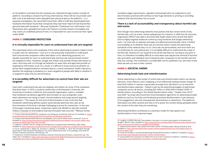<span id="page-5-0"></span>on the platform and data that the company has collected through trackers outside its platform. According to research by Privacy International, these still do not provide users with a list of all advertisers who uploaded their personal data to the platform.<sup>11</sup> In a separate investigation, the same NGO found that 100% of staff who downloaded their Facebook Information found that companies they had never heard of had shared their personal data with Facebook.12 Because Facebook's "Download Your Information" and "Businesses who uploaded and used a list" feature currently remains incomplete and only covers an undefined period of time, it is impossible for users to exercise their rights under GDPR.

#### **HARM 3: CONSUMER PROTECTION**

#### **It is virtually impossible for users to understand how ads are targeted**

The automated nature and complexity of the online advertising ecosystem makes it hard to audit, even for advertisers.<sup>13</sup> Just as it is now practically impossible to understand (and control) how companies collect data about us for advertising purposes, it is equally impossible for users to understand why and how ads and promoted content are targeted at them. Facebook, Google and Twitter only provide limited information to users, and many ads run through ad networks on news sites and apps that provide no explanatory information at all. As a result, it is difficult to know and prove whether an ad has been targeted based on sensitive data (i.e. sexual orientation, health indicators), whether the targeting is predatory (i.e. loans targeted at people with debt) or whether it is targeted in ways that are discriminatory.

#### **It is incredibly difficult for advertisers to control how their ads are targeted**

Users don't understand how ads are targeted, and neither do some of the companies that place them. In 2019, a study by researchers at Northeastern University, the University of Southern California, and nonprofit organisation, Upturn, revealed that Facebook's ad delivery algorithm discriminates on race and gender, even when advertisers are trying to reach a broad audience and using neutral targeting parameters.14 The reason for this kind of discrimination is due to the fact that Facebook's advertising delivery system automatically optimises who sees an ad. Discrimination of this kind is already challenging to prove for researchers. In the case of the paper mentioned above, researchers spent over \$8,500 on ads that reached millions of people to find evidence that discrimination had occurred.15 Without further mandatory legal requirements, regulators (and people who are subjected to such discriminatory practices) will continue to face huge obstacles to proving or providing evidence that discrimination has occured.

#### **There is a lack of accountability and transparency about harmful ads and scams**

Even though most advertising networks have policies that ban certain kinds of ads, harmful ads, such as scams, remain widespread. For instance, in 2020 the UK consumer organisation Which? was able to promote fake health advice and a brand that didn't exist to highly targeted audiences online by using Facebook and Google advertising tools.16 As most ads on websites and apps are delivered automatically, there is limited accountability as to whether these ads are harmful and/or violate the advertising standards of the network they run on. Since ads are personalised, and since there are no ad libraries for non-political ads, it is incredibly difficult to understand the scope of harmful ads. Brands are not required to list all the ads they are running at any point in time. It is therefore incredibly difficult to track down and request the removal of harmful ads; journalists and individual users frequently alert companies to the harmful ads that they are running. This constitutes a considerable risk for publishers too, who don't know what ads will run next to their content.

#### **HARM 4: SOCIETAL HARMS**

#### **Advertising funds hate and misinformation**

Online advertising is a key funder of online hate and misinformation which can disrupt elections, incite violence, and is stopping us from effectively tackling climate change. At least \$235 million in revenue is generated annually from ads which run on extremist and disinformation websites – fueled in part by the advertising budgets of well-known companies across all sectors, including \$25 million in 2020 which funded COVID-19 disinformation, according to The Global Disinformation Index.17 Studies from 201918 and 202019 by Avaaz also found that recommendation algorithms on advertising-funded platforms (such as YouTube and Facebook) prioritised disinformation in part because of its engagement rate and consequential attractiveness to advertisers. The platforms themselves are often reactive and rely on AI to police the content being uploaded and/or the content of the sites they are monetising.

Advertising therefore contributes to a business model for hate speech and disinformation in four important ways:

<sup>11</sup> Privacy International (2020) 'No, Facebook is not telling you everything', February 24. Available at: [https://](https://privacyinternational.org/long-read/3372/no-facebook-not-telling-you-everything) [privacyinternational.org/long-read/3372/no-facebook-not-telling-you-everything](https://privacyinternational.org/long-read/3372/no-facebook-not-telling-you-everything)

<sup>12</sup> Privacy International (2020) 'What do Led Zeppelin, Cisco and Dr Oetker have in common?', June 16. Available at: [https://privacyinternational.org/report/3864/what-do-led-zeppelin-cisco-and-dr-oetker-have](https://privacyinternational.org/report/3864/what-do-led-zeppelin-cisco-and-dr-oetker-have-common-fa)[common-facebook-says-they-share-our-data](https://privacyinternational.org/report/3864/what-do-led-zeppelin-cisco-and-dr-oetker-have-common-fa)

<sup>13</sup> Gibbons, A (2020) 'Time for change and transparency in programmatic advertising', ISBA, 6 May. Available at: <https://www.isba.org.uk/news/time-for-change-and-transparency-in-programmatic-advertising/> 14 Ali, M., Sapiezynski, P., Bogen, M., Korolova, A., Mislove, A. and Rieke, A., 2019. Discrimination through Optimization: How Facebook's Ad Delivery Can Lead to Biased Outcomes. In Proceedings of the ACM on Human-Computer Interaction, 3(CSCW), pp.1-30.

<sup>15</sup> Robertson, A (2019) 'Facebook's ad delivery could be inherently discriminatory, researchers say', The Verge, Apr 4. Available at: [https://www.theverge.com/2019/4/4/18295190/facebook-ad-delivery-housing-job](https://www.theverge.com/2019/4/4/18295190/facebook-ad-delivery-housing-job-race-gender-bias-study-n)[race-gender-bias-study-northeastern-upturn \(Accessed June 10, 2020\).](https://www.theverge.com/2019/4/4/18295190/facebook-ad-delivery-housing-job-race-gender-bias-study-n)

<sup>16</sup> Laughlin, A (2020) 'Fake ads; real problems: how easy is it to post scam adverts on Facebook and Google?', Which?, 6 July. Available at: [https://www.which.co.uk/news/2020/07/fake-ads-real-problems-how](https://www.which.co.uk/news/2020/07/fake-ads-real-problems-how-easy-is-it-to-post-scam-adverts-on-g)[easy-is-it-to-post-scam-adverts-on-google-and-facebook/](https://www.which.co.uk/news/2020/07/fake-ads-real-problems-how-easy-is-it-to-post-scam-adverts-on-g) 17 Global Disinformation Index (2020) 'Ad-Funded COVID 19 Disinformation: Money, Brands & Tech'. Available at: [https://disinformationindex.org/wp-content/uploads/2020/07/GDI\\_Ad-funded-COVID-19-](https://disinformationindex.org/wp-content/uploads/2020/07/GDI_Ad-funded-COVID-19-Disinformation-1.p) [Disinformation-1.pdf](https://disinformationindex.org/wp-content/uploads/2020/07/GDI_Ad-funded-COVID-19-Disinformation-1.p)

<sup>18</sup> Avaaz (2019) 'Why is YouTube Broadcasting Climate Misinformation to Millions?' Available at: [https://](https://secure.avaaz.org/campaign/en/youtube_climate_misinformation/) [secure.avaaz.org/campaign/en/youtube\\_climate\\_misinformation/](https://secure.avaaz.org/campaign/en/youtube_climate_misinformation/) 19 Avaaz (2020) 'How Facebook Can Flatten the Curve of the Coronavirus Infodemic'. Available at: [https://](https://avaazimages.avaaz.org/facebook_coronavirus_misinformation.pdf) [avaazimages.avaaz.org/facebook\\_coronavirus\\_misinformation.pdf](https://avaazimages.avaaz.org/facebook_coronavirus_misinformation.pdf)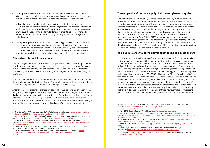- **Directly –** where creators of disinformation and hate speech are able to place advertising on their website, page or channel, and earn money from it. This is often combined with active sharing on social media to increase reach and revenue.
- **Indirectly** where hateful or otherwise malicious content or products are recommended via platform recommendation algorithms. The platforms themselves are funded by advertising and therefore prioritise content which causes a reaction, or will keep the user on the platform for longer in order to be served more ads. Salacious content recommended in this way can play a role in exposing users to radical content.20
- **Through design –** where content creators, including journalists, start to optimise their content for clicks, shares and other engagement metrics.<sup>21</sup> This is to ensure that the content travels fast and far online, but can ultimately lead to misleading or clickbait headlines, the prioritisation of radical content or stories, and a lack of provision for local stories or those in languages that are less easily monetised.

In addition, definitions of political ads vary widely. When it comes to political ad libraries, there is a lack of standardisation; Member States' rules for political television advertising still differ widely from what is required for online political advertising.<sup>23</sup>

#### **Political ads still lack transparency**

Despite changes that were introduced by most platforms, political advertising continues to lack the transparency necessary to ensure fair and democratic elections. For instance, in 2019, lawmakers, campaigners and academics said it remained almost impossible to effectively track how political ads are bought and targeted across Facebook's digital platforms.22

The amount of data that routinely changes hands, and the way in which it is handled, poses significant security risks to individuals. In 2017, for instance, a team of journalists at the German public broadcaster NDR who obtained the pseudonymous browsing histories of millions of German internet users were quickly able to identify politicians, police officers and judges, as well as their deeply intimate browsing histories.<sup>26</sup> Such data is routinely collected and exchanged by countless companies that operate in the adtech ecosystem, often with limited security. Similar security concerns have been raised about Real Time Bidding (RTB), an automated possess commonly used in behavioural advertising that enables advertisers to target very specific groups of people on different websites, videos and apps. According to numerous complaints raised with Data Protection Authorities (DPAs) across Europe, RTB broadcasts personal data without security in hundreds of billions of bid requests every day.<sup>27</sup>

Another concern is that many changes introduced by the platforms haven't been rolled out globally, meaning counties with volatile political contexts and fragile democracies risk being most vulnerable to election interference. According to a 2019 study by Privacy International, Facebook only required political advertisers to be authorised, or for political ads to carry disclosures, in around 17% of countries around the world.<sup>24</sup> Google provides 'heightened transparency' for political ads in 30 countries – around 15%.<sup>25</sup>

#### **The complexity of the data supply chain poses cybersecurity risks**

#### **Rapid uptake of digital technology is contributing to climate change**

Digital tools and services have a significant and growing carbon footprint. Researchers estimate that the estimated 2020 global footprint of the tech industry is comparable to that of the aviation industry,<sup>28</sup> and that its carbon footprint could increase to 14% by 2040.<sup>29</sup> This is primarily attributable to the energy consumption of data centres, as well as the (impending) roll out of 5G.<sup>3031</sup> Digital advertising contributes significantly to these numbers. In 2017, between 20.38-282.75 TWh of energy was consumed to power online advertising, producing 11.53-159.93 million tons of CO2e, of which invalid (fake) traffic resulted in 2.65-36.78 million tons of CO2e emissions.32 Failure to tackle ad fraud is degrading our environment and greater reliance on AI risks exacerbating the issue: training and maintaining AIs requires huge amounts of energy over their lifetimes. A study from the University of Massachusetts found that training one AI model produced 300,000 kilograms of carbon dioxide emissions, roughly equivalent to 125 round trip flights from New York to Beijing.33 The uptake of these new technologies must come hand in hand with investment in clean energy and an active stance on their necessity.

26 Ward, M. (2017) 'It is easy to expose users' secret web habits, say researchers', BBC News, July 31.

31 Bronk, C (2019) "What 5G means for energy". Available at: [https://www.cfr.org/blog/what-5g-means-](https://www.cfr.org/blog/what-5g-means-energy)

<sup>20</sup> The Atlantic (2018) "Radicalisation and the YouTube longtail". Available at: [https://www.theatlantic.com/](https://www.theatlantic.com/politics/archive/2018/03/youtube-extremism-and-the-long-tail/555350/) [politics/archive/2018/03/youtube-extremism-and-the-long-tail/555350/](https://www.theatlantic.com/politics/archive/2018/03/youtube-extremism-and-the-long-tail/555350/)

<sup>21</sup> Cristin, A. (2018) "Counting Clicks: Quantification and Variation in Web Journalism in the United States and France" Available at: <https://www.journals.uchicago.edu/doi/abs/10.1086/696137>

<sup>22</sup> Scott, M (2019) 'Facebook transparency effort fails to stop shady political ads', POLITICO, 25 July. Available at: [https://www.politico.eu/article/facebook-political-advertising-transparency-register-elections-](https://www.politico.eu/article/facebook-political-advertising-transparency-register-elections-2020-)[2020-digital-campaign/](https://www.politico.eu/article/facebook-political-advertising-transparency-register-elections-2020-)

<sup>23</sup> Gorwa, R. and Ash, T.G., 2020. Democratic transparency in the platform society. Social Media and Democracy: The State of the Field, Prospects for Reform, p.286.

<sup>28</sup> Atag (2019) "Facts & Figures". Available at:<https://www.atag.org/facts-figures.html> 29 AI Now Institute (2019) "AI and climate change: how they're connected and what we can do about it". Available at: [https://medium.com/@AINowInstitute/ai-and-climate-change-how-theyre-connected-and-what](https://medium.com/@AINowInstitute/ai-and-climate-change-how-theyre-connected-and-what-we-can-do-abo)[we-can-do-about-it-6aa8d0f5b32c](https://medium.com/@AINowInstitute/ai-and-climate-change-how-theyre-connected-and-what-we-can-do-abo)

<sup>24</sup> Privacy International (2019) 'Why is advertising transparency important?' . Available at: [https://](https://privacyinternational.org/explainer/3288/why-advertising-transparency-important) [privacyinternational.org/explainer/3288/why-advertising-transparency-important](https://privacyinternational.org/explainer/3288/why-advertising-transparency-important) 25 Ibid.

Available at: <https://www.bbc.co.uk/news/technology-40770393> 27 <https://fixad.tech/about/>

<sup>30</sup> The Alternative (2019) "Data centres energy use". Available at: [https://www.thealternative.org.uk/](https://www.thealternative.org.uk/dailyalternative/2019/5/19/data-centres-energy-use) [dailyalternative/2019/5/19/data-centres-energy-use](https://www.thealternative.org.uk/dailyalternative/2019/5/19/data-centres-energy-use)

[energy](https://www.cfr.org/blog/what-5g-means-energy)

<sup>32</sup> Pärssinen, M. et al (2018) "Environmental impact assessment of online advertising". Available at: <https://www.sciencedirect.com/science/article/pii/S0195925517303505>

<sup>33 16</sup> Strubell, E. Et al (2019) "Energy and Policy Considerations for Deep Learning in NLP". Available at: <https://arxiv.org/abs/1906.02243>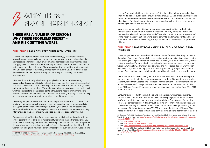#### **CHALLENGE 1: LACK OF SUPPLY CHAIN ACCOUNTABILITY**

Over the last 30 years, brands have been held increasingly accountable for their physical supply chains. A clothing brand, for example, can no longer claim that it is not responsible for child labour, environmental degradation or other harms across its supply chain. At the same time, leadership initiatives have improved conditions for coffee farmers, reduced the use of hazardous chemicals in clothing production, and revolutionised carbon footprinting. Brands from Unilever to C&A now differentiate themselves in the marketplace through sustainability and diversity claims and programmes.

Initiatives do exist for digital advertising supply chains, but uptake is currently piecemeal and accountability is low when things go wrong. Existing platforms, and 'sell side' actors, have little control or oversight as to who advertises with or through them, and whether those ads are legal. The majority of ad networks do not proactively check whether sites seeking monetisation contain fraudulent, hateful or misinformative content. Furthermore, platforms are often reactive, meaning they rely on users to flag or report content, or on AI moderation which is not fit for purpose.

The widely adopted IAB Gold Standard, for example, mandates action on fraud, 'brand safety' and ad formats which improve user experience; but one component, Ads.txt, is allegedly being defrauded by far right publisher, Breitbart.<sup>34</sup> The IAB asserts the issue lies elsewhere, while campaigners claim that the fraud is the IAB's responsibility. Intervention to drive accountability and close loopholes is desperately needed.

Campaigns such as Sleeping Giants have sought to publicly call out brands, with the aim of getting them to take more responsibility for where their advertising ends up. Ultimately, however, organisations are still taking a reactive approach: blocking certain sites or relying on crude technology such as 'blocklisting', which has the side effect of further defunding hard news and diverse media (words such as 'Muslim', 'Lesbian' and

Even though there are thousands of adtech companies,<sup>38</sup> online advertising remains a duopoly of Google and Facebook. By some estimates, the two advertising giants control 84% of the global digital ad market. These ads are mostly sold on their services (such as Instagram and YouTube), but both companies also operate ad exchanges on external websites, which allow advertisers to display ads and websites and apps. Even though people typically don't have to pay for the services provided by Google and Facebook, such as Gmail and Messenger, their dominance still results in direct and tangible harm.

## <span id="page-7-0"></span>**WHY THESE PROBLEMS PERSIST**

## **THERE ARE A NUMBER OF REASONS WHY THESE PROBLEMS PERSIST – AND RISK GETTING WORSE.**

'protests' are routinely blocked for example).35 Despite public claims, brand advertising often works against public claims around climate change, CSR, or diversity: while brands create communications and initiatives that tackle social and environmental issues, their advertising is funding disinformation, and hate speech which set these issues back, or defunding important and diverse voices.

More proactive oversight initiatives are growing in popularity, driven by both industry and legislation, but adoption is not yet mainstream. Industry initiatives such as the WFA's Global Alliance for Responsible Media<sup>36</sup> and The Conscious Advertising Network<sup>37</sup> aim to widen the conversation beyond 'brand safety' to fundamental rights and users' experience of the web. However, regulatory intervention is necessary to support these initiatives.

#### **CHALLENGE 2: MARKET DOMINANCE, A DUOPOLY OF GOOGLE AND FACEBOOK**

This dominance also results in higher costs for advertisers, which is reflected in prices for goods and services in the economy. An analysis by the UK Competition and Markets Authority found that Google's and Facebook's market power has a significant impact on prices and revenues.<sup>39</sup> Google's revenue per search in the UK has more than doubled since 2011 and Facebook's average revenue per user increased tenfold from £5 in 2011 to £50 in 2019.40

Consumers are faced with limited choice and competition, which means that they are less able to control how their data is used. When signing up to use their services, platforms can de facto dictate their terms and conditions. Since Google, Facebook and other large companies collect data through tracking on so many websites and apps, it can become virtually impossible to avoid them. For instance, an empirical study of the prevalence of third-party trackers on 959,000 apps from the US and UK Google Play stores found that most apps contain third party tracking, and the distribution of trackers

<sup>34</sup> BRANDED (2020) ''So \*that's\* how Breitbart is still making money' BRANDED newsletter, 22 July. Available at: <https://branded.substack.com/p/so-thats-how-breitbart-is-still-making>

<sup>38</sup> See: <https://chiefmartec.com/2019/04/marketing-technology-landscape-supergraphic-2019/> 39 Competition & Markets Authority (2020) 'Online platforms and digital advertising - Market study final report', 1 July. Available at: [https://assets.publishing.service.gov.uk/media/5efc57ed3a6f4023d242ed56/](https://assets.publishing.service.gov.uk/media/5efc57ed3a6f4023d242ed56/Final_report_1_July_2020_.pd) [Final\\_report\\_1\\_July\\_2020\\_.pdf](https://assets.publishing.service.gov.uk/media/5efc57ed3a6f4023d242ed56/Final_report_1_July_2020_.pd)

<sup>35</sup> Spangler, T. (2020) ' Vice Urges Advertisers to Stop Blocking 'Black Lives Matter' and Related Keywords' Variety, 24 June. Available at: [https://variety.com/2020/digital/news/vice-advertiser-block-black-lives-matter](https://variety.com/2020/digital/news/vice-advertiser-block-black-lives-matter-keywords-1234648046/)[keywords-1234648046/](https://variety.com/2020/digital/news/vice-advertiser-block-black-lives-matter-keywords-1234648046/)

<sup>36</sup> See: <https://wfanet.org/garm>

<sup>37</sup> See: <https://www.consciousadnetwork.org/>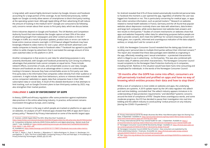is long-tailed, with several highly dominant trackers by Google, Amazon and Facebook accounting for a large portion of the coverage. As we mentioned previously, neither Apple nor Google currently allow owners of smartphones to block third party tracking at the operating system level. Although Apple killing off their advertising ID will reduce the amount of tracking in the medium term<sup>41</sup> (Google are rumoured to be following suit), concerns remain about their access to first party data, which we discuss below.

Entire industries depend on Google and Facebook. The UK Markets and Competition Authority found that intermediaries like Google capture at least 35% of the value of advertising bought from newspapers and other content providers in the UK.42 Changes in traffic as a result of product updates, product tests or errors can make or break entire revenue streams overnight. A 2018 lawsuit alleged Facebook may have knowingly inflated its video metrics for over a year, which led both advertisers and media companies to heavily invest in Facebook video.<sup>43</sup> Facebook has agreed to pay \$40 million to settle charges by advertisers that it overstated the average amount of time users watched video on the platform in 2019.

Another consequence is that access to user data for advertising purposes is very unevenly distributed, with Google and Facebook protected by such strong incumbency advantages that potential rivals cannot compete on equal terms. These include: network effects, economies of scale, and unmatchable access to user data. Google, Amazon and Facebook are also at an advantage when it comes to cookie-based tracking in browsers, because they have unmatchable access to first party user data. First party data is the information that companies collect directly from their audience or customers. It might include: data from behaviours, actions or interests demonstrated across companies' website(s) or app(s), data that companies have in their CRM, subscription data or social data. A result of this skewed distribution is that attempts to limit tracking, such as Google Chrome's plans to ban third-party cookies by 2023, may also strengthen their market position.

for Android revealed that 61% of those tested automatically transferred personal data to Facebook the moment a user opened the app, regardless of whether the user was logged into Facebook or not. This is particularly concerning for medical apps, or apps that collect sensitive information, such as period trackers.<sup>45</sup> Research on websites related to mental health websites in France, Germany and the UK found that popular websites about depression routinely share user data with advertisers, data brokers and large tech companies, while some depression test websites leak answers and test results to third parties.46 Studies of consent mechanisms on websites show that apps and websites frequently collect data for advertising purposes before people are able to provide consent, don't meet the GDPR bar for consent (meaning consent isn't freely given, nor a specific, informed and unambiguous indication of the data subject's wishes), or simply don't ask for consent at all.<sup>47</sup>

#### **CHALLENGE 3: LACK OF ENFORCEMENT OF GDPR**

In theory, GDPR and ePrivacy regulation offer some protection against exploitative data practices in the online advertising industry. In practice, enforcement remains inconsistent throughout Europe, and is lacking.

A key area of concern is the way in which people are tracked on platforms on apps and on websites. An analysis of 5,877 Android apps showed that 40% of apps don't have a privacy policy.44 Research by Privacy International on some of the world's largest apps

In 2020, the Norwegian Consumer Council revealed that the dating app Grindr was sending users' personal data to multiple third parties without their informed consent.48 The report also revealed that these data packages were labelled as originating in the app, effectively revealing users' sexual orientation – a protected characteristic which is illegal to use in advertising – to third parties. This was also combined with location data, IP address and other characteristics. The Norwegian Consumer Council issued complaints to the Norwegian Data Protection Authority on 6 companies, including Grindr. Redress in this situation would have been hard, time consuming and complicated for individuals. In the words of the Norwegian Consumer Council:

#### **"20 months after the GDPR has come into effect, consumers are still pervasively tracked and profiled on apps and have no way of knowing which entities process their data and how to stop them".**

While a lack of compliance is most visible on websites and apps, the underlying problems are systemic. A 2019 update report by the UK's data regulator into adtech and real time bidding, concluded that "the adtech industry appears immature in its understanding of data protection requirements," and identified "systemic concerns around the level of compliance of RTB." Despite these unambiguous words, and some moderate progress, the ICO has decided to pause their investigation into real time bidding and the adtech industry to avoid putting "undue pressure on any industry [during the COVID-19 pandemic]".<sup>49</sup>

[https://www.forbes.com/sites/johnkoetsier/2020/06/29/apple-killed-the-idfa-what-else-dies/#370652e2262f](https://www.forbes.com/sites/johnkoetsier/2020/06/29/apple-killed-the-idfa-what-else-dies/#370652e22) 42 Competition & Markets Authority (2020) 'Online platforms and digital advertising - Market study final report', 1 July. Available at: [https://assets.publishing.service.gov.uk/media/5efc57ed3a6f4023d242ed56/](https://assets.publishing.service.gov.uk/media/5efc57ed3a6f4023d242ed56/Final_report_1_July_2020_.pd) [Final\\_report\\_1\\_July\\_2020\\_.pdf](https://assets.publishing.service.gov.uk/media/5efc57ed3a6f4023d242ed56/Final_report_1_July_2020_.pd)

<sup>41</sup> Koetsier, J (2020) 'Apple Killed The IDFA. What Else Dies?' Available at:

<sup>43</sup> Available at: [https://www.theverge.com/2018/10/17/17989712/facebook-inaccurate-video-metrics](https://www.theverge.com/2018/10/17/17989712/facebook-inaccurate-video-metrics-inflation-lawsuit)[inflation-lawsuit](https://www.theverge.com/2018/10/17/17989712/facebook-inaccurate-video-metrics-inflation-lawsuit)

<sup>44</sup> Han, C., Reyes, I., Feal, Á., Reardon, J., Wijesekera, P., Vallina-Rodriguez, N., Elazari, A., Bamberger, K.A. and Egelman, S., 2020. The Price is (Not) Right: Comparing Privacy in Free and Paid Apps. In Proceedings on Privacy Enhancing Technologies, 2020(3), pp.222-242.

<sup>45</sup> Privacy International (2019) 'No Body's Business But Mine: How Menstruation Apps Are Sharing Your Data', 9 September. Available at: [https://privacyinternational.org/long-read/3196/no-bodys-business](https://privacyinternational.org/long-read/3196/no-bodys-business-mine-how-menstruations-apps-are-sh)[mine-how-menstruations-apps-are-sharing-your-data](https://privacyinternational.org/long-read/3196/no-bodys-business-mine-how-menstruations-apps-are-sh) 46 Privacy International (2019) 'Your mental health for sale', 3 September. Available at: [https://](https://privacyinternational.org/long-read/3194/privacy-international-investigation-your-mental-heal) [privacyinternational.org/long-read/3194/privacy-international-investigation-your-mental-health-sale](https://privacyinternational.org/long-read/3194/privacy-international-investigation-your-mental-heal) 47 Norwegian Consumer Council (2018) 'Deceived by Design'. Available at: [https://fil.forbrukerradet.no/](https://fil.forbrukerradet.no/wp-content/uploads/2018/06/2018-06-27-deceived-by-design-final.pdf) [wp-content/uploads/2018/06/2018-06-27-deceived-by-design-final.pdf](https://fil.forbrukerradet.no/wp-content/uploads/2018/06/2018-06-27-deceived-by-design-final.pdf) 48 Norwegian Consumer Council (2020) 'Out of Control - How consumers are exploited by the online advertising industry', 14 January. Accessible via: [https://fil.forbrukerradet.no/wp-content/](https://fil.forbrukerradet.no/wp-content/uploads/2020/01/2020-01-14-out-of-control-final-version.pdf) [uploads/2020/01/2020-01-14-out-of-control-final-version.pdf](https://fil.forbrukerradet.no/wp-content/uploads/2020/01/2020-01-14-out-of-control-final-version.pdf) 49 See: [https://ico.org.uk/about-the-ico/news-and-events/news-and-blogs/2020/05/ico-statement-on](https://ico.org.uk/about-the-ico/news-and-events/news-and-blogs/2020/05/ico-statement-on-adtech-work)[adtech-work/](https://ico.org.uk/about-the-ico/news-and-events/news-and-blogs/2020/05/ico-statement-on-adtech-work)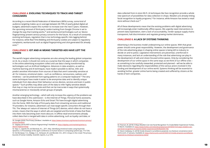According to a recent World Federation of Advertisers (WFA) survey, some kind of audience targeting makes up on average between 60-70% of yearly global digital ad budgets; advertisers expect this number to increase over the next 5 years. However, the upcoming removal of third-party cookie tracking from Google Chrome is set to change the way that tracking works,50 and workaround technologies such as 'device fingerprinting' present serious privacy concerns for the future. As a result of constantly evolving techniques, regulation that is too technology-specific risks lagging behind. For instance, while Real Time Bidding and third-party cookies are subject to regulatory complaints, workarounds such as digital fingerprinting and click-generated IDs already exist.<sup>51</sup>

#### **CHALLENGE 4: EVOLVING TECHNIQUES TO TRACK AND TARGET CONSUMERS**

#### **CHALLENGE 5: IOT AND AI MEANS TARGETED ADS HAVE LEFT THE SCREEN**

The world's largest advertising companies are also among the leading global companies on AI. As a result, it should not come as a surprise that the ways in which companies in the online advertising ecosystem collect and use data is being transformed by technologies such as Artificial Intelligence. Advances in data analytics, as well as machine learning and AI techniques, have made it possible to derive, infer and predict sensitive information from sources of data that aren't ostensibly sensitive at all. For instance, emotional states – such as confidence, nervousness, sadness and tiredness – can be predicted from typing patterns on a computer keyboard.<sup>52</sup> The very same techniques have made it easier to de-anonymise data and to identify unique individuals from data about their behaviour across devices, services and even in public spaces.53 Such profiles may allow users of the data to infer highly sensitive details that may or may not be accurate and that can be inaccurate in ways that systemically mischaracterise or misclassify certain groups of people.

data collected from in-store Wi-Fi. AI techniques like face recognition provide a whole new spectrum of possibilities for data collection in shops. Retailers are already linking facial recognition to loyalty programs,<sup>54</sup> for instance, while Amazon has tested a retail store without check-out.<sup>55</sup>

Another emerging technology – which will only increase the urgency of the problems we have described in this submission – is the Internet of Things. Personal home assistants, such as Google Home, Amazon Echo and Smart TVs have brought digital advertising into the home. With the help of first-party data from streaming services and traditional TV providers, for instance, advertisers can now target specific consumers through their TVs. The 'always-on' nature of Internet of Things (IoT) devices, which often do not have a screen, means that the ways in which ads are targeted and the kinds of data that flows into them risks becoming even more obscure. In offline retail environments already collect data that is merged with data in online advertising, such as loyalty card data, or

All of these developments mean that the existing problems with digital advertising will increasingly enter traditionally offline spaces. We urgently need interventions to prevent data exploitation, stem a lack of accountability, render opaque supply chains transparent, halt discrimination and regulate growing market dominance.

### **CHALLENGE 6: A LACK OF SYSTEMS THINKING**

Advertising is the business model underpinning our online spaces. With that great power should come great responsibility. However, the development and governance of the role advertising plays in shaping online spaces is being left to industry to decide on and to police. Legislative interventions are piecemeal, unenforced in many instances, and lack an understanding of the role that advertising can play in the development of safe and citizen-focused online spaces. Only by considering the development of our online space in the same ways as we think of our offline ones – as something to be carefully stewarded, protected and planned – will we be able to make decisions regarding the responsibilities of the various actors involved in the funding and development of our online world. Systems thinking will be essential to avoiding further, greater online harms being created and suffered by citizens at the hands of tech companies.

<sup>50</sup> Google (2020) 'The Privacy Sandbox'. Available at: [https://www.chromium.org/Home/chromium-privacy/](https://www.chromium.org/Home/chromium-privacy/privacy-sandbox) [privacy-sandbox](https://www.chromium.org/Home/chromium-privacy/privacy-sandbox)

<sup>51</sup> Digiday (2019) 'WTF is Device Fingerprinting?' Available at: [https://digiday.com/marketing/what-is](https://digiday.com/marketing/what-is-device-fingerprinting/)[device-fingerprinting/](https://digiday.com/marketing/what-is-device-fingerprinting/)

<sup>52</sup> Epp, C., Lippold, M. and Mandryk, R.L., 2011, May. Identifying emotional states using keystroke dynamics. In Proceedings of the sigchi conference on human factors in computing systems (pp. 715-724). 53 De Montjoye, Y.A., Hidalgo, C.A., Verleysen, M. and Blondel, V.D., 2013. Unique in the crowd: The privacy bounds of human mobility. Scientific reports, 3, p.1376.

<sup>54</sup> Pearson, B. (2018) '3 Ways Retailers Can Use Facial Recognition To Create Better Experiences' Forbes, 15 March. Available at: [https://www.forbes.com/sites/bryanpearson/2018/03/15/3-ways-retailers-can](https://www.forbes.com/sites/bryanpearson/2018/03/15/3-ways-retailers-can-use-facial-recognition-to-)[use-facial-recognition-to-express-better-experiences/#246adc061766](https://www.forbes.com/sites/bryanpearson/2018/03/15/3-ways-retailers-can-use-facial-recognition-to-) 55 Devin Coldewey, D. (2018) 'Inside Amazon's surveillance-powered, no-checkout convenience store' Techcrunch, 21 January. Available at: [https://techcrunch.com/2018/01/21/inside-amazons-surveillance]( https://techcrunch.com/2018/01/21/inside-amazons-surveillance-powered-no-checkout-convenience-store)[powered-no-checkout-convenience-store/]( https://techcrunch.com/2018/01/21/inside-amazons-surveillance-powered-no-checkout-convenience-store)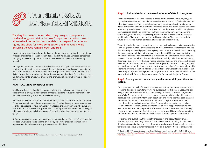**Tackling the broken online advertising ecosystem requires a bold and long-term vision for how Europe can transition towards alternative internet business models that respect fundamental rights, and allow for more competition and innovation while ensuring the web remains open and free.** 

Paving the way towards an alternative is more than a moral imperative, it is also of great strategic importance for the European digital market. As long as European companies are trying to play catchup to the US model of surveillance capitalism, they will lag behind.

We urge the Commission to reject the idea that Europe's digital transformation follows a natural, predetermined path. Instead, the most important – and urgent – question for the current Commission to ask is: what does Europe want to transform towards? Is it a digital Europe that is premised on the exploitation of people's data? Or one that protects fundamental rights, empowers creators and promotes alternative business models for online content?

#### **PRACTICAL STEPS TO REDUCE HARM**

Until Europe has articulated this alternative vision and begins working towards it, we believe there is an urgent need to take immediate steps to reduce the harm caused by the online advertising ecosystem as we know it today.

We notice with some concern that a number of legislative proposals that are part of the Commission's ambitious plans for regulating tech<sup>56</sup> either directly address some aspect of online advertising or have some indirect effect on the ecosystem as a whole. We are concerned that this piecemeal approach risks creating inconsistent rules, while failing to address the fundamentally broken core of the online advertising ecosystem as it exists today.

Before we proceed to some more concrete recommendations for each of these ongoing proposals, we would like to expand on four key objectives that we believe all future regulation of the online advertising ecosystem should follow:

<span id="page-10-0"></span>

#### **Step 1: Limit and reduce the overall amount of data in the system**

Online advertising as we know it today is based on the premise that everything we say or do online can – and should – be turned into data that is profiled and mined for advertising purposes. This vision is fundamentally incompatible with fundamental rights. As we move towards ever more connected online and offline spaces, this vision is becoming a real threat to democracy, as it reduces the spaces in which people can meet, organise, speak – or simply be – without their behaviours, movements and words being tracked. This is especially problematic when we consider the way that traditionally offline worlds and online worlds are colliding. The smart cities of the future must respect human beings as citizens as well as consumers.

Yet, as it stands, the onus is almost entirely on users of technology to tweak confusing – and frequently hidden – privacy settings, or make choices about cookies in pop-ups that are designed to nudge people into giving their consent. A key solution to reducing the overall amount of data in the system is to enforce GDPR and make opt-in the default everywhere. We need system-level requirements that communicate people's choices once and for all, and that stipulate 'do not track' by default. More concretely, this means system-level settings on mobile operating systems and browsers. It stands testament to the vested interests of dominant players that it is not currently possible to entirely opt out of third-party advertising tracking on either of the two major mobile operating systems. If the Commission wants to tackle the worst effects of the broken advertising ecosystem, forcing dominant players to offer better defaults would be lowhanging fruit with far-reaching consequences for fundamental rights in Europe.

#### **Step 2: Force greater transparency and accountability on the adtech system**

For consumers, this lack of transparency means that they cannot understand who is collecting data about them for advertising purposes, how this data is used, who it is being shared with and whether this data is being processed or used to target them unlawfully. The harm that this causes is most evident in political ads, which are still displayed with insufficient information about how and why a user has been targeted and by whom.57 When consumers encounter an ad or sponsored content that is either harmful, or in violation of a platform's own policies, reporting mechanisms are often limited. Crucially, there is no feedback on what happens after an ad has been reported, how many reported ads are taken down, or how effective screening is before an ad goes online. Since there are currently no ad libraries for non-political ads, it is impossible to understand how exactly scammers operate – and where.

For brands and publishers, this lack of transparency and accountability creates considerable risks, including losses to fraud, the inadvertent funding of hate speech, disinformation and other brand-unsafe content, and revenue loss through the 'adtech tax' described above. Greater transparency would allow advertisers to take greater

<sup>56</sup> e.g. the Digital Services Act, the European Democracy Action Plan, planned regulation of AI

<sup>57</sup> Scott, M (2019) 'Facebook transparency effort fails to stop shady political ads', POLITICO, 25 July. Available at: [https://www.politico.eu/article/facebook-political-advertising-transparency-register-elections-](https://www.politico.eu/article/facebook-political-advertising-transparency-register-elections-2020-)[2020-digital-campaign/](https://www.politico.eu/article/facebook-political-advertising-transparency-register-elections-2020-)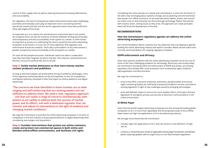<span id="page-11-0"></span>control of their supply chain as well as reducing fraud and increasing effectiveness and accountability.

For regulators, this lack of transparency makes enforcement particularly challenging. Journalists and everyday users play an important role in uncovering harmful sponsored content and ads, but this ad hoc approach leaves those who profit from these ads largely off the hook.

As important as it is to reduce the overall amount of personal data in the system, we recognise there can also be instances of tension between limiting personal data and transparency and the accountability of the system as a whole. In other words: as important as privacy is in addressing the harms caused by the online advertising ecosystem as we know it, it is just one of many objectives that regulation and enforcement should aim towards. That's why a precondition of any enforcement is greater transparency and accountability of the ecosystem as a whole.

For each ad that people encounter, individuals need to be able to understand how they have been targeted, by whom and why. This requires comprehensive ad libraries, not just for political ads, but for all ads.

#### **Step 3: Tackle market dominance so that more money reaches content producers and publishers**

As long as dominant players are protected by strong incumbency advantages, none of the objectives mentioned above can be accomplished. As the UK Competitions and Market Authority remarked in their final report on Online platforms and digital advertising:

**"The concerns we have identified in these markets are so wide ranging and self-reinforcing that our existing powers are not sufficient to address them. We need a new, regulatory approach – one that can tackle a range of concerns simultaneously, with powers to act swiftly to address both the sources of market power and its effects, and with a dedicated regulator that can monitor and adjust its interventions in the light of evidence and changing market conditions."**

We urge the Commission to prioritise the online advertising ecosystem in its work on competition in the tech industry and pay special attention to digital advertising when considering new mergers and acquisitions.

**Step 4: Consider interventions that protect our online commons, create and protect non-commercial spaces in both online and blended online/offline environments, and facilitate civil rights**

Considering the online domain as a whole and committing to a vision for the future of the web is key to bringing about systemic change. Just as planning and environmental laws protect our offline commons, so we need laws which define, protect and nourish our online ones so that humanity can thrive through technology. Rather than persist with reactive action, solving issues as they arise, this approach can create principles which will drive the development of the web.

#### **RECOMMENDATIONS**

#### **How the Commission's regulatory agenda can address the online advertising ecosystem**

Our recommendations above comprise four key objectives that any regulatory agenda tackling the online advertising industry will need to consider. Below, we will make more concrete recommendations for ongoing regulatory initiatives:

#### **GDPR enforcement and ePrivacy**

Given that systemic problems with the online advertising ecosystem are at the core of some of the most challenging problems for technology, democracy and society today, the Commission should prioritise the enforcement of GDPR and similar, pre-existing regulations that already offer some protection from fundamental rights violations, data exploitation and discrimination.

We urge the Commission to:

- ensure that DPAs, consumer protection authorities, equality bodies and human rights monitoring bodies are sufficiently trained and funded to monitor and enforce existing legislation in light of new challenges posed by emerging technologies;
- work with Member States to ensure the much-needed reform of Europe's ePrivacy legislation to strengthen privacy and security of electronic communications in the online environment.

#### **AI White Paper**

Given that the world's largest advertising companies are also among the leading global companies on AI, it is more than regrettable that the proposed scope of the AI White Paper leaves out high-risk applications of AI in the advertising industry.

We strongly recommend that the Commission:

- includes 'high-risk' applications of AI in 'low-risk' sectors in the definition of 'highrisk' AI;
- conducts a comprehensive review of applicable existing legal frameworks and identify places requiring updates, with an urgent focus on non-discrimination legislation;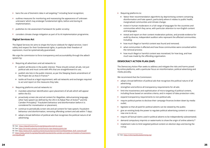- bans the use of biometric data in ad targeting,58 including facial recognition;
- outlines measures for monitoring and reassessing the appearance of 'unknown unknowns' which may endanger fundamental rights, before and during AI implementation;
- publishes its risk assessment framework for public scrutiny;
- considers climate change mitigation as part of its AI implementation programme.

#### **Digital Services Act**

The Digital Services Act aims to shape the future rulebook for digital services. Users' safety and respect for their fundamental rights, in particular their freedom of expression, must be systematically guaranteed.

We urge the commission to force transparency and accountability through the adtech system by:

- Requiring all advertisers and ad networks to:
	- publish ad libraries in the public interest. These should contain all ads, not just political ads and must come with APIs that are straightforward to use;
	- publish site lists in the public interest, as per the Sleeping Giants amendment of the Project de Loi Avia in France;<sup>59</sup>
	- tackle ad fraud as a legal requirement, with ad networks and exchanges required to act and report on the measures they take.
- Requiring platforms and ad networks to:
	- mandate advertiser identification upon placement of all ads which will appear within the EU;
	- proactively screen site and ad content for illegalities, dehumanising language, other hate speech (as defined by the UN in its Rabat Plan of Action<sup>60</sup> and the Camden Principles),<sup>61</sup> fraudulent behaviour and disinformation before it is considered for monetisation or placement;
	- continue to periodically screen site and ad content for hate speech, fraudulent behaviour and disinformation, removing offending content and ads within 7 days;
	- adopt a broad definition of political ads that recognises the political nature of all advertising;

communities which they serve, with particular attention to non-English content

- Requiring platforms to:
	- 'detox' their recommendation algorithms by deprioritising content containing disinformation and hate speech, particularly where it relates to public health, marginalised communities and climate change;
	- invest in human moderators in a full range of languages for the countries and and languages;
	- reveal and report on their content moderation policies, and provide evidence for Including:
	- how much illegal or harmful content was found and removed;
	- what communities it affected and how those communities were consulted within the removal process;
	- how much illegal or harmful content was monetised, for how long, and how much was made by the offending organisation.

audit by diverse, independent auditors who represent the affected communities.

#### **DEMOCRACY ACTION PLAN (DAP)**

The Democracy Action Plan seeks to address and mitigate the risks and harms posed by online platforms, with a particular focus on misinformation, political advertising and media plurality.

We recommend that the Commission:

- adopt a broad definition of political ads that recognises the political nature of all advertising;
- strengthen and enforce all transparency requirements for all ads;
- limit the invasiveness and sophistication of micro-targeting of political content, including those based on sensitive criteria, and in respect of data protection rules;
- expand transparency requirements to non-political ads;
- require political parties to disclose their campaign finances broken down by media outlet;
- legislate so that all paid-for political adverts can be viewed by the public;
- give an existing body the power to regulate political advertising content or create a new one to do so;
- require all factual claims used in political adverts to be independently substantiated;
- demand compulsory imprints or watermarks to show the origin of online adverts:<sup>62</sup>
- implement rules to limit targeted political content on election days and during the runup.

<sup>58</sup> See: <https://digitalfreedomfund.org/taking-police-tech-to-court/>

<sup>59</sup> See: <https://branded.substack.com/p/frances-new-sleeping-giants-law>

<sup>60</sup> See: [https://www.ohchr.org/Documents/Issues/Opinion/SeminarRabat/Rabat\\_draft\\_outcome.pdf](https://www.ohchr.org/Documents/Issues/Opinion/SeminarRabat/Rabat_draft_outcome.pdf)

<sup>61</sup> [https://www.article19.org/data/files/pdfs/standards/the-camden-principles-on-freedom-of-expression](https://www.article19.org/data/files/pdfs/standards/the-camden-principles-on-freedom-of-expression-a)[and-equality.pdf](https://www.article19.org/data/files/pdfs/standards/the-camden-principles-on-freedom-of-expression-a)

<sup>62</sup> See: <https://reformpoliticaladvertising.org/>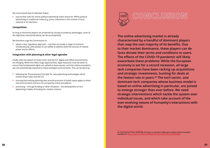<span id="page-13-0"></span>We recommend that EU Member States:

**•** ensure that rules for online political advertising match those for offline political advertising on traditional media (e.g. press, television) in the context of local, national or EU elections.

#### **Competition**

So long as dominant players are protected by strong incumbency advantages, none of the objectives mentioned above can be accomplished.

We therefore urge the Commission to:

**•** adopt a new, regulatory approach – one that can tackle a range of concerns simultaneously, with powers to act swiftly to address both the sources of market power and its effects.

#### **Integration with planning & other legal agendas**

Finally, with the advent of 'smart cities' and the IoT, digital and offline environments are merging. While this offers huge opportunities, legal measures must be taken to ensure that fundamental rights are upheld in these spaces, and that online precedents are not automatically exported to these emergent environments. This can be done by:

- following the 'Precautionary Principle' for new advertising technologies which involve smart cities and the IoT;
- ensuing that existing planning laws around provision of public space apply to these new environments and are not usurped by online precedents;
- promoting through funding or other initiatives the development of nonadvertising models of funding for content creators.



## **CONCLUSION**

**The online advertising market is already characterised by a handful of dominant players that reap the vast majority of its benefits. Due to their market dominance, these players can de facto dictate their terms and conditions to users. The effects of the COVID-19 pandemic will likely exacerbate these problems: While the European economy is set for a record recession, all large tech companies have been racking up acquisitions and strategic investments, hunting for deals at the fastest rate in years.63 The tech sector, and dominant tech companies whose business model is based on online advertising in particular, are poised to emerge stronger than ever before. We need strategic interventions which tackle the system over individual issues, and which take account of the ever-evolving nature of humanity's interactions with the digital world.**